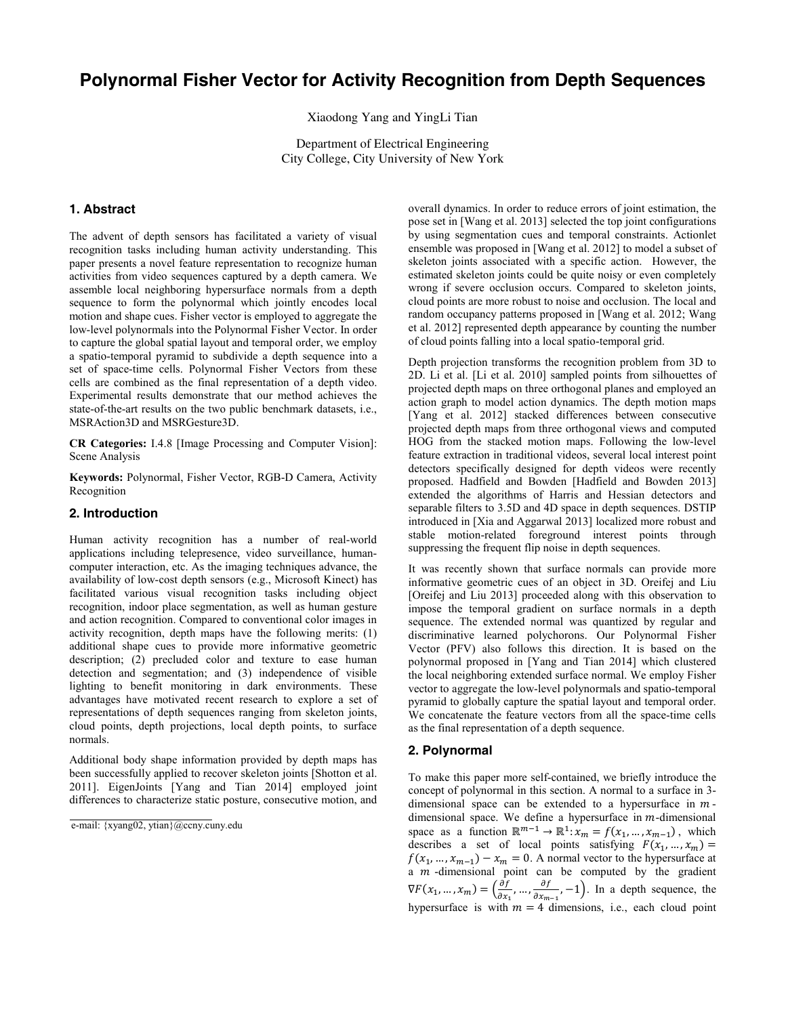# Polynormal Fisher Vector for Activity Recognition from Depth Sequences

Xiaodong Yang and YingLi Tian

Department of Electrical Engineering City College, City University of New York

# 1. Abstract

The advent of depth sensors has facilitated a variety of visual recognition tasks including human activity understanding. This paper presents a novel feature representation to recognize human activities from video sequences captured by a depth camera. We assemble local neighboring hypersurface normals from a depth sequence to form the polynormal which jointly encodes local motion and shape cues. Fisher vector is employed to aggregate the low-level polynormals into the Polynormal Fisher Vector. In order to capture the global spatial layout and temporal order, we employ a spatio-temporal pyramid to subdivide a depth sequence into a set of space-time cells. Polynormal Fisher Vectors from these cells are combined as the final representation of a depth video. Experimental results demonstrate that our method achieves the state-of-the-art results on the two public benchmark datasets, i.e., MSRAction3D and MSRGesture3D.

CR Categories: I.4.8 [Image Processing and Computer Vision]: Scene Analysis

Keywords: Polynormal, Fisher Vector, RGB-D Camera, Activity Recognition

# 2. Introduction

Human activity recognition has a number of real-world applications including telepresence, video surveillance, humancomputer interaction, etc. As the imaging techniques advance, the availability of low-cost depth sensors (e.g., Microsoft Kinect) has facilitated various visual recognition tasks including object recognition, indoor place segmentation, as well as human gesture and action recognition. Compared to conventional color images in activity recognition, depth maps have the following merits: (1) additional shape cues to provide more informative geometric description; (2) precluded color and texture to ease human detection and segmentation; and (3) independence of visible lighting to benefit monitoring in dark environments. These advantages have motivated recent research to explore a set of representations of depth sequences ranging from skeleton joints, cloud points, depth projections, local depth points, to surface normals.

Additional body shape information provided by depth maps has been successfully applied to recover skeleton joints [Shotton et al. 2011]. EigenJoints [Yang and Tian 2014] employed joint differences to characterize static posture, consecutive motion, and

e-mail: {xyang02, ytian}@ccny.cuny.edu

overall dynamics. In order to reduce errors of joint estimation, the pose set in [Wang et al. 2013] selected the top joint configurations by using segmentation cues and temporal constraints. Actionlet ensemble was proposed in [Wang et al. 2012] to model a subset of skeleton joints associated with a specific action. However, the estimated skeleton joints could be quite noisy or even completely wrong if severe occlusion occurs. Compared to skeleton joints, cloud points are more robust to noise and occlusion. The local and random occupancy patterns proposed in [Wang et al. 2012; Wang et al. 2012] represented depth appearance by counting the number of cloud points falling into a local spatio-temporal grid.

Depth projection transforms the recognition problem from 3D to 2D. Li et al. [Li et al. 2010] sampled points from silhouettes of projected depth maps on three orthogonal planes and employed an action graph to model action dynamics. The depth motion maps [Yang et al. 2012] stacked differences between consecutive projected depth maps from three orthogonal views and computed HOG from the stacked motion maps. Following the low-level feature extraction in traditional videos, several local interest point detectors specifically designed for depth videos were recently proposed. Hadfield and Bowden [Hadfield and Bowden 2013] extended the algorithms of Harris and Hessian detectors and separable filters to 3.5D and 4D space in depth sequences. DSTIP introduced in [Xia and Aggarwal 2013] localized more robust and stable motion-related foreground interest points through suppressing the frequent flip noise in depth sequences.

It was recently shown that surface normals can provide more informative geometric cues of an object in 3D. Oreifej and Liu [Oreifej and Liu 2013] proceeded along with this observation to impose the temporal gradient on surface normals in a depth sequence. The extended normal was quantized by regular and discriminative learned polychorons. Our Polynormal Fisher Vector (PFV) also follows this direction. It is based on the polynormal proposed in [Yang and Tian 2014] which clustered the local neighboring extended surface normal. We employ Fisher vector to aggregate the low-level polynormals and spatio-temporal pyramid to globally capture the spatial layout and temporal order. We concatenate the feature vectors from all the space-time cells as the final representation of a depth sequence.

#### 2. Polynormal

To make this paper more self-contained, we briefly introduce the concept of polynormal in this section. A normal to a surface in 3 dimensional space can be extended to a hypersurface in  $m$ dimensional space. We define a hypersurface in  $m$ -dimensional space as a function  $\mathbb{R}^{m-1} \to \mathbb{R}^1$ :  $x_m = f(x_1, ..., x_{m-1})$ , which describes a set of local points satisfying  $F(x_1, ..., x_m) =$  $f(x_1, ..., x_{m-1}) - x_m = 0$ . A normal vector to the hypersurface at a *-dimensional point can be computed by the gradient*  $\nabla F(x_1, ..., x_m) = \left(\frac{\partial f}{\partial x_1}, ..., \frac{\partial f}{\partial x_{m-1}}, -1\right)$ . In a depth sequence, the hypersurface is with  $m = 4$  dimensions, i.e., each cloud point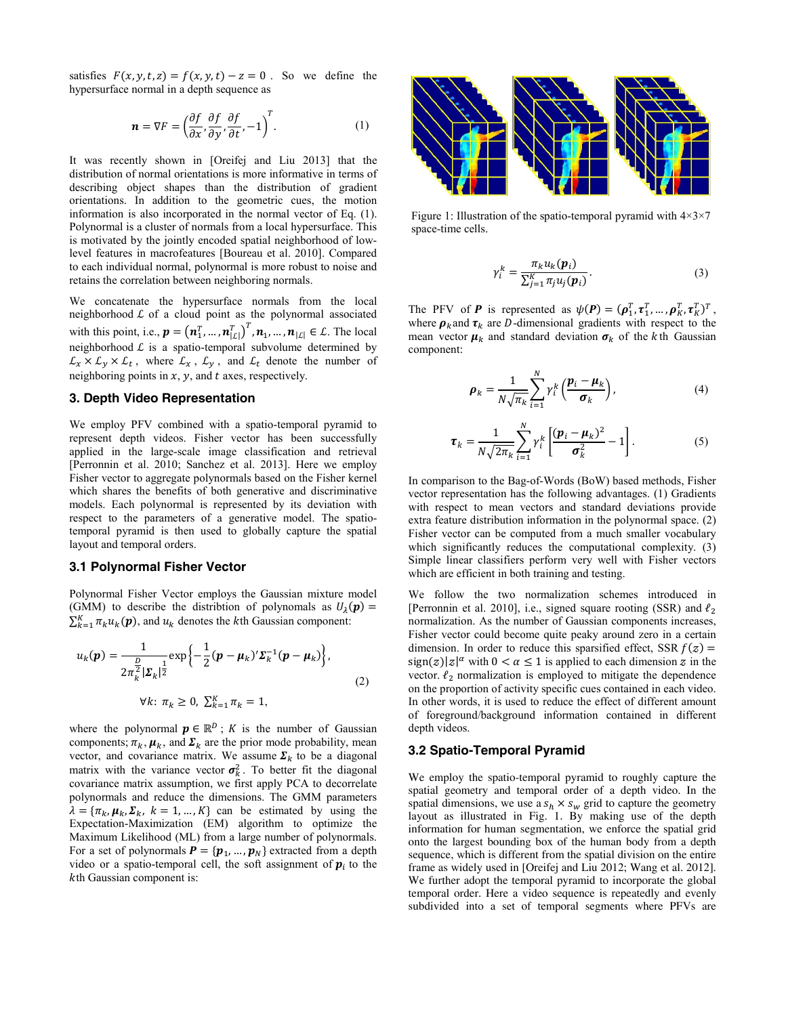satisfies  $F(x, y, t, z) = f(x, y, t) - z = 0$ . So we define the hypersurface normal in a depth sequence as

$$
\mathbf{n} = \nabla F = \left(\frac{\partial f}{\partial x}, \frac{\partial f}{\partial y}, \frac{\partial f}{\partial t}, -1\right)^{T}.
$$
 (1)

It was recently shown in [Oreifej and Liu 2013] that the distribution of normal orientations is more informative in terms of describing object shapes than the distribution of gradient orientations. In addition to the geometric cues, the motion information is also incorporated in the normal vector of Eq. (1). Polynormal is a cluster of normals from a local hypersurface. This is motivated by the jointly encoded spatial neighborhood of lowlevel features in macrofeatures [Boureau et al. 2010]. Compared to each individual normal, polynormal is more robust to noise and retains the correlation between neighboring normals.

We concatenate the hypersurface normals from the local neighborhood  $L$  of a cloud point as the polynormal associated with this point, i.e.,  $\mathbf{p} = (\mathbf{n}_1^T, ..., \mathbf{n}_{|\mathcal{L}|}^T, \mathbf{n}_1, ..., \mathbf{n}_{|\mathcal{L}|} \in \mathcal{L}$ . The local neighborhood  $\mathcal L$  is a spatio-temporal subvolume determined by  $\mathcal{L}_x \times \mathcal{L}_y \times \mathcal{L}_t$ , where  $\mathcal{L}_x$ ,  $\mathcal{L}_y$ , and  $\mathcal{L}_t$  denote the number of neighboring points in  $x$ ,  $y$ , and  $t$  axes, respectively.

#### 3. Depth Video Representation

We employ PFV combined with a spatio-temporal pyramid to represent depth videos. Fisher vector has been successfully applied in the large-scale image classification and retrieval [Perronnin et al. 2010; Sanchez et al. 2013]. Here we employ Fisher vector to aggregate polynormals based on the Fisher kernel which shares the benefits of both generative and discriminative models. Each polynormal is represented by its deviation with respect to the parameters of a generative model. The spatiotemporal pyramid is then used to globally capture the spatial layout and temporal orders.

#### 3.1 Polynormal Fisher Vector

Polynormal Fisher Vector employs the Gaussian mixture model (GMM) to describe the distribtion of polynomals as  $U_{\lambda}(\mathbf{p}) =$  $\sum_{k=1}^{K} \pi_k u_k(\boldsymbol{p})$ , and  $u_k$  denotes the kth Gaussian component:

$$
u_k(\boldsymbol{p}) = \frac{1}{2\pi_k^2 |\boldsymbol{\Sigma}_k|^{\frac{1}{2}}} \exp\left\{-\frac{1}{2}(\boldsymbol{p} - \boldsymbol{\mu}_k)' \boldsymbol{\Sigma}_k^{-1}(\boldsymbol{p} - \boldsymbol{\mu}_k)\right\},
$$
  

$$
\forall k: \pi_k \ge 0, \ \sum_{k=1}^K \pi_k = 1,
$$
 (2)

where the polynormal  $p \in \mathbb{R}^D$ ; *K* is the number of Gaussian components;  $\pi_k$ ,  $\mu_k$ , and  $\Sigma_k$  are the prior mode probability, mean vector, and covariance matrix. We assume  $\Sigma_k$  to be a diagonal matrix with the variance vector  $\sigma_k^2$ . To better fit the diagonal covariance matrix assumption, we first apply PCA to decorrelate polynormals and reduce the dimensions. The GMM parameters  $\lambda = {\pi_k, \mu_k, \Sigma_k, k = 1, ..., K}$  can be estimated by using the Expectation-Maximization (EM) algorithm to optimize the Maximum Likelihood (ML) from a large number of polynormals. For a set of polynormals  $P = \{p_1, ..., p_N\}$  extracted from a depth video or a spatio-temporal cell, the soft assignment of  $p_i$  to the th Gaussian component is:



Figure 1: Illustration of the spatio-temporal pyramid with  $4\times3\times7$ space-time cells.

$$
\gamma_i^k = \frac{\pi_k u_k(\boldsymbol{p}_i)}{\sum_{j=1}^K \pi_j u_j(\boldsymbol{p}_i)}.
$$
\n(3)

The PFV of **P** is represented as  $\psi(P) = (\rho_1^T, \tau_1^T, ..., \rho_K^T, \tau_K^T)^T$ , where  $\rho_k$  and  $\tau_k$  are *D*-dimensional gradients with respect to the mean vector  $\mu_k$  and standard deviation  $\sigma_k$  of the k<sup>th</sup> Gaussian component:

$$
\rho_k = \frac{1}{N\sqrt{\pi_k}} \sum_{i=1}^{N} \gamma_i^k \left( \frac{p_i - \mu_k}{\sigma_k} \right), \tag{4}
$$

$$
\boldsymbol{\tau}_k = \frac{1}{N\sqrt{2\pi_k}} \sum_{i=1}^N \gamma_i^k \left[ \frac{(\boldsymbol{p}_i - \boldsymbol{\mu}_k)^2}{\sigma_k^2} - 1 \right]. \tag{5}
$$

In comparison to the Bag-of-Words (BoW) based methods, Fisher vector representation has the following advantages. (1) Gradients with respect to mean vectors and standard deviations provide extra feature distribution information in the polynormal space. (2) Fisher vector can be computed from a much smaller vocabulary which significantly reduces the computational complexity. (3) Simple linear classifiers perform very well with Fisher vectors which are efficient in both training and testing.

We follow the two normalization schemes introduced in [Perronnin et al. 2010], i.e., signed square rooting (SSR) and  $\ell_2$ normalization. As the number of Gaussian components increases, Fisher vector could become quite peaky around zero in a certain dimension. In order to reduce this sparsified effect, SSR  $f(z)$  =  $sign(z)|z|^{\alpha}$  with  $0 < \alpha \le 1$  is applied to each dimension z in the vector.  $\ell_2$  normalization is employed to mitigate the dependence on the proportion of activity specific cues contained in each video. In other words, it is used to reduce the effect of different amount of foreground/background information contained in different depth videos.

# 3.2 Spatio-Temporal Pyramid

We employ the spatio-temporal pyramid to roughly capture the spatial geometry and temporal order of a depth video. In the spatial dimensions, we use a  $s_h \times s_w$  grid to capture the geometry layout as illustrated in Fig. 1. By making use of the depth information for human segmentation, we enforce the spatial grid onto the largest bounding box of the human body from a depth sequence, which is different from the spatial division on the entire frame as widely used in [Oreifej and Liu 2012; Wang et al. 2012]. We further adopt the temporal pyramid to incorporate the global temporal order. Here a video sequence is repeatedly and evenly subdivided into a set of temporal segments where PFVs are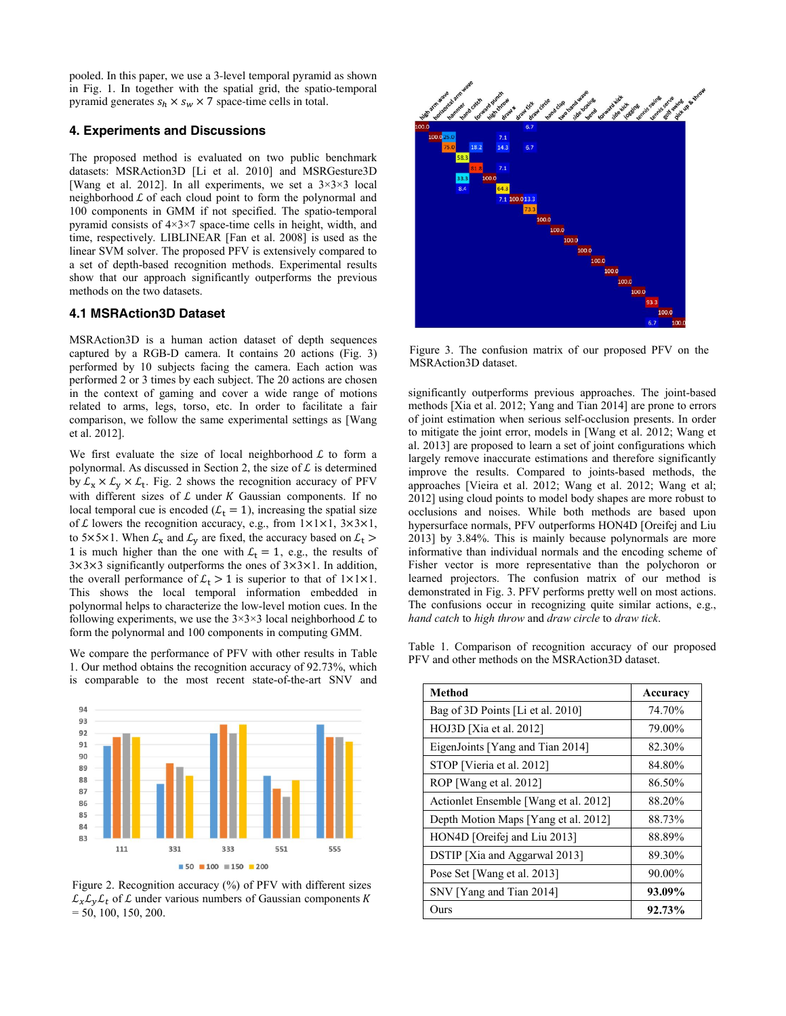pooled. In this paper, we use a 3-level temporal pyramid as shown in Fig. 1. In together with the spatial grid, the spatio-temporal pyramid generates  $s_h \times s_w \times 7$  space-time cells in total.

## 4. Experiments and Discussions

The proposed method is evaluated on two public benchmark datasets: MSRAction3D [Li et al. 2010] and MSRGesture3D [Wang et al. 2012]. In all experiments, we set a 3×3×3 local neighborhood  $L$  of each cloud point to form the polynormal and 100 components in GMM if not specified. The spatio-temporal pyramid consists of 4×3×7 space-time cells in height, width, and time, respectively. LIBLINEAR [Fan et al. 2008] is used as the linear SVM solver. The proposed PFV is extensively compared to a set of depth-based recognition methods. Experimental results show that our approach significantly outperforms the previous methods on the two datasets.

#### 4.1 MSRAction3D Dataset

MSRAction3D is a human action dataset of depth sequences captured by a RGB-D camera. It contains 20 actions (Fig. 3) performed by 10 subjects facing the camera. Each action was performed 2 or 3 times by each subject. The 20 actions are chosen in the context of gaming and cover a wide range of motions related to arms, legs, torso, etc. In order to facilitate a fair comparison, we follow the same experimental settings as [Wang et al. 2012].

We first evaluate the size of local neighborhood  $\mathcal L$  to form a polynormal. As discussed in Section 2, the size of  $\mathcal L$  is determined by  $\mathcal{L}_X \times \mathcal{L}_V \times \mathcal{L}_t$ . Fig. 2 shows the recognition accuracy of PFV with different sizes of  $L$  under  $K$  Gaussian components. If no local temporal cue is encoded ( $\mathcal{L}_t = 1$ ), increasing the spatial size of  $\mathcal L$  lowers the recognition accuracy, e.g., from  $1 \times 1 \times 1$ ,  $3 \times 3 \times 1$ , to 5×5×1. When  $\mathcal{L}_x$  and  $\mathcal{L}_y$  are fixed, the accuracy based on  $\mathcal{L}_t$  > 1 is much higher than the one with  $\mathcal{L}_t = 1$ , e.g., the results of 3×3×3 significantly outperforms the ones of 3×3×1. In addition, the overall performance of  $\mathcal{L}_t > 1$  is superior to that of  $1 \times 1 \times 1$ . This shows the local temporal information embedded in polynormal helps to characterize the low-level motion cues. In the following experiments, we use the  $3\times3\times3$  local neighborhood  $\mathcal L$  to form the polynormal and 100 components in computing GMM.

We compare the performance of PFV with other results in Table 1. Our method obtains the recognition accuracy of 92.73%, which is comparable to the most recent state-of-the-art SNV and







Figure 3. The confusion matrix of our proposed PFV on the MSRAction3D dataset.

significantly outperforms previous approaches. The joint-based methods [Xia et al. 2012; Yang and Tian 2014] are prone to errors of joint estimation when serious self-occlusion presents. In order to mitigate the joint error, models in [Wang et al. 2012; Wang et al. 2013] are proposed to learn a set of joint configurations which largely remove inaccurate estimations and therefore significantly improve the results. Compared to joints-based methods, the approaches [Vieira et al. 2012; Wang et al. 2012; Wang et al; 2012] using cloud points to model body shapes are more robust to occlusions and noises. While both methods are based upon hypersurface normals, PFV outperforms HON4D [Oreifej and Liu 2013] by 3.84%. This is mainly because polynormals are more informative than individual normals and the encoding scheme of Fisher vector is more representative than the polychoron or learned projectors. The confusion matrix of our method is demonstrated in Fig. 3. PFV performs pretty well on most actions. The confusions occur in recognizing quite similar actions, e.g., *hand catch* to *high throw* and *draw circle* to *draw tick*.

Table 1. Comparison of recognition accuracy of our proposed PFV and other methods on the MSRAction3D dataset.

| <b>Method</b>                          | Accuracy |
|----------------------------------------|----------|
| Bag of 3D Points [Li et al. 2010]      | 74.70%   |
| $HOJ3D$ [Xia et al. 2012]              | 79.00%   |
| EigenJoints [Yang and Tian 2014]       | 82.30%   |
| STOP [Vieria et al. 2012]              | 84.80%   |
| ROP [Wang et al. 2012]                 | 86.50%   |
| Action let Ensemble [Wang et al. 2012] | 88.20%   |
| Depth Motion Maps [Yang et al. 2012]   | 88.73%   |
| HON4D [Oreifej and Liu 2013]           | 88.89%   |
| <b>DSTIP</b> [Xia and Aggarwal 2013]   | 89.30%   |
| Pose Set [Wang et al. 2013]            | 90.00%   |
| SNV [Yang and Tian 2014]               | 93.09%   |
| Ours                                   | 92.73%   |